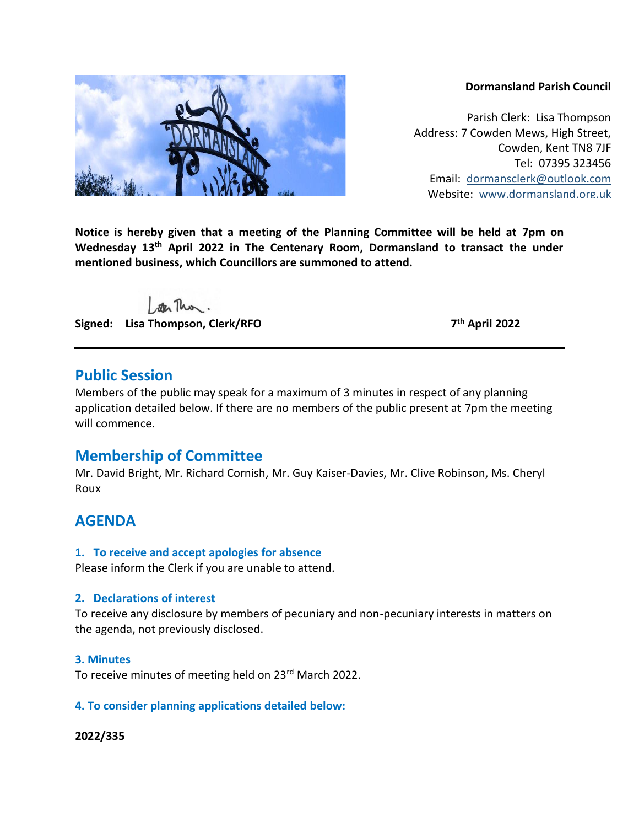#### **Dormansland Parish Council**

Parish Clerk: Lisa Thompson Address: 7 Cowden Mews, High Street, Cowden, Kent TN8 7JF Tel: 07395 323456 Email: [dormansclerk@outlook.com](mailto:dormansclerk@outlook.com) Website: [www.dormansland.org.uk](http://www.dormansland.org.uk/)

**Notice is hereby given that a meeting of the Planning Committee will be held at 7pm on Wednesday 13th April 2022 in The Centenary Room, Dormansland to transact the under mentioned business, which Councillors are summoned to attend.**

ster This.

**Signed: Lisa Thompson, Clerk/RFO 7**

**th April 2022**

# **Public Session**

Members of the public may speak for a maximum of 3 minutes in respect of any planning application detailed below. If there are no members of the public present at 7pm the meeting will commence.

# **Membership of Committee**

Mr. David Bright, Mr. Richard Cornish, Mr. Guy Kaiser-Davies, Mr. Clive Robinson, Ms. Cheryl Roux

# **AGENDA**

#### **1. To receive and accept apologies for absence**

Please inform the Clerk if you are unable to attend.

# **2. Declarations of interest**

To receive any disclosure by members of pecuniary and non-pecuniary interests in matters on the agenda, not previously disclosed.

#### **3. Minutes**

To receive minutes of meeting held on 23<sup>rd</sup> March 2022.

# **4. To consider planning applications detailed below:**

#### **2022/335**